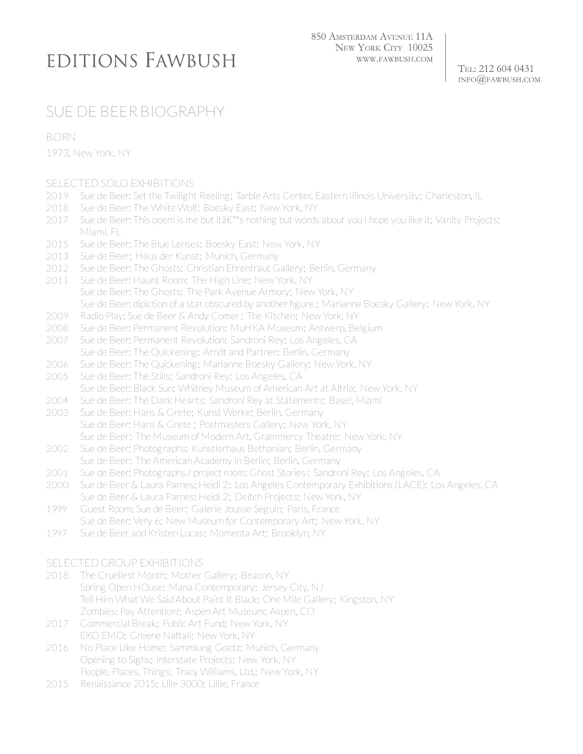## EDITIONS FAWBUSH

TEL: 212 604 0431  $INFO$  $@FAWBUSH$ .COM

## SUE DE BEER BIOGRAPHY

BORN

1973, New York, NY

## SELECTED SOLO EXHIBITIONS

- 2019 Sue de Beer: Set the Twilight Reeling; Tarble Arts Center, Eastern Illinois University; Charleston, IL
- 2018 Sue de Beer: The White Wolf; Boesky East; New York, NY
- 2017 Sue de Beer: This poem is me but itâ€<sup>™</sup>s nothing but words about you I hope you like it; Vanity Projects; Miami, FL
- 2015 Sue de Beer: The Blue Lenses; Boesky East; New York, NY
- 2013 Sue de Beer; Haus der Kunst; Munich, Germany
- 2012 Sue de Beer: The Ghosts; Christian Ehrentraut Gallery; Berlin, Germany
- 2011 Sue de Beer: Haunt Room; The High Line; New York, NY Sue de Beer: The Ghosts; The Park Avenue Armory; New York, NY Sue de Beer: dipiction of a star obscured by another figure ; Marianne Boesky Gallery; New York, NY
- 2009 Radio Play: Sue de Beer & Andy Comer; The Kitchen; New York, NY
- 2008 Sue de Beer: Permanent Revolution; MuHKA Museum; Antwerp, Belgium
- 2007 Sue de Beer: Permanent Revolution; Sandroni Rey; Los Angeles, CA Sue de Beer: The Quickening; Arndt and Partner; Berlin, Germany
- 2006 Sue de Beer: The Quickening; Marianne Boesky Gallery; New York, NY
- 2005 Sue de Beer: The Stills; Sandroni Rey; Los Angeles, CA
- Sue de Beer: Black Sun; Whitney Museum of American Art at Altria; New York, NY
- 2004 Sue de Beer: The Dark Hearts; Sandroni Rey at Statements; Basel, Miami
- 2003 Sue de Beer: Hans & Grete; Kunst Werke; Berlin, Germany Sue de Beer: Hans & Grete ; Postmasters Gallery; New York, NY Sue de Beer; The Museum of Modern Art, Grammercy Theatre; New York, NY
- 2002 Sue de Beer: Photographs; Kunstlerhaus Bethanian; Berlin, Germany Sue de Beer; The American Academy in Berlin; Berlin, Germany
- 2001 Sue de Beer: Photographs / project room: Ghost Stories ; Sandroni Rey; Los Angeles, CA
- 2000 Sue de Beer & Laura Parnes: Heidi 2; Los Angeles Contemporary Exhibitions (LACE); Los Angeles, CA Sue de Beer & Laura Parnes: Heidi 2; Deitch Projects; New York, NY
- 1999 Guest Room: Sue de Beer; Galerie Jousse Seguin; Paris, France
- Sue de Beer: Very 6; New Museum for Contemporary Art; New York, NY
- 1997 Sue de Beer and Kristen Lucas; Momenta Art; Brooklyn, NY

## SELECTED GROUP EXHIBITIONS

- 2018 The Cruellest Month; Mother Gallery; Beacon, NY Spring Open HOuse; Mana Contemporary; Jersey City, NJ Tell Him What We Said About Paint It Black; One Mile Gallery; Kingston, NY Zombies: Pay Attention!; Aspen Art Museum; Aspen, CO
- 2017 Commercial Break; Public Art Fund; New York, NY EXO EMO; Greene Naftali; New York, NY
- 2016 No Place Like Home; Sammlung Goetz; Munich, Germany Opening to Sighs; Interstate Projects; New York, NY People, Places, Things; Tracy Williams, Ltd.; New York, NY
- 2015 Renaissance 2015; Lille 3000; Lillie, France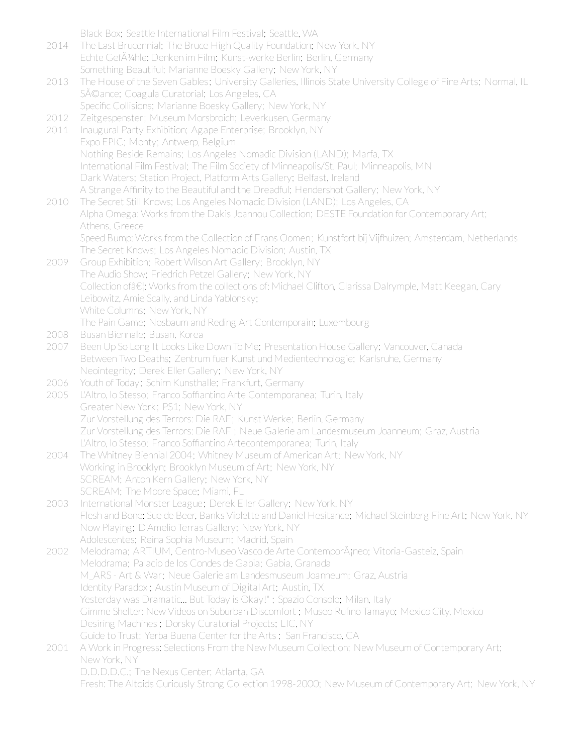Black Box; Seattle International Film Festival; Seattle, WA

- 2014 The Last Brucennial; The Bruce High Quality Foundation; New York, NY Echte Gef $\tilde{A}$ 1/4hle: Denken im Film; Kunst-werke Berlin; Berlin, Germany Something Beautiful; Marianne Boesky Gallery; New York, NY
- 2013 The House of the Seven Gables; University Galleries, Illinois State University College of Fine Arts; Normal, IL Séance; Coagula Curatorial; Los Angeles, CA Specific Collisions; Marianne Boesky Gallery; New York, NY
- 2012 Zeitgespenster; Museum Morsbroich; Leverkusen, Germany
- 2011 Inaugural Party Exhibition; Agape Enterprise; Brooklyn, NY Expo EPIC; Monty; Antwerp, Belgium Nothing Beside Remains; Los Angeles Nomadic Division (LAND); Marfa, TX International Film Festival; The Film Society of Minneapolis/St. Paul; Minneapolis, MN Dark Waters; Station Project, Platform Arts Gallery; Belfast, Ireland A Strange Affinity to the Beautiful and the Dreadful; Hendershot Gallery; New York, NY
- 2010 The Secret Still Knows; Los Angeles Nomadic Division (LAND); Los Angeles, CA Alpha Omega: Works from the Dakis Joannou Collection; DESTE Foundation for Contemporary Art; Athens, Greece Speed Bump: Works from the Collection of Frans Oomen; Kunstfort bij Vijfhuizen; Amsterdam, Netherlands
- The Secret Knows; Los Angeles Nomadic Division; Austin, TX 2009 Group Exhibition; Robert Wilson Art Gallery; Brooklyn, NY The Audio Show; Friedrich Petzel Gallery; New York, NY Collection of â€]: Works from the collections of: Michael Clifton, Clarissa Dalrymple, Matt Keegan, Cary Leibowitz, Amie Scally, and Linda Yablonsky; White Columns; New York, NY The Pain Game; Nosbaum and Reding Art Contemporain; Luxembourg
- 2008 Busan Biennale; Busan, Korea
- 2007 Been Up So Long It Looks Like Down To Me; Presentation House Gallery; Vancouver, Canada Between Two Deaths; Zentrum fuer Kunst und Medientechnologie; Karlsruhe, Germany Neointegrity; Derek Eller Gallery; New York, NY
- 2006 Youth of Today; Schirn Kunsthalle; Frankfurt, Germany
- 2005 L'Altro, lo Stesso; Franco Soffiantino Arte Contemporanea; Turin, Italy Greater New York; PS1; New York, NY Zur Vorstellung des Terrors: Die RAF; Kunst Werke; Berlin, Germany Zur Vorstellung des Terrors: Die RAF ; Neue Galerie am Landesmuseum Joanneum; Graz, Austria L'Altro, lo Stesso; Franco Soffiantino Artecontemporanea; Turin, Italy
- 2004 The Whitney Biennial 2004; Whitney Museum of American Art; New York, NY Working in Brooklyn; Brooklyn Museum of Art; New York, NY SCREAM; Anton Kern Gallery; New York, NY SCREAM; The Moore Space; Miami, FL
- 2003 International Monster League; Derek Eller Gallery; New York, NY Flesh and Bone: Sue de Beer, Banks Violette and Daniel Hesitance; Michael Steinberg Fine Art; New York, NY Now Playing; D'Amelio Terras Gallery; New York, NY Adolescentes; Reina Sophia Museum; Madrid, Spain

2002 Melodrama; ARTIUM, Centro-Museo Vasco de Arte Contemporáneo; Vitoria-Gasteiz, Spain Melodrama; Palacio de los Condes de Gabia; Gabia, Granada M\_ARS - Art & War; Neue Galerie am Landesmuseum Joanneum; Graz, Austria Identity Paradox ; Austin Museum of Digital Art; Austin, TX Yesterday was Dramatic... But Today is Okay!" ; Spazio Consolo; Milan, Italy Gimme Shelter: New Videos on Suburban Discomfort ; Museo Rufino Tamayo; Mexico City, Mexico Desiring Machines ; Dorsky Curatorial Projects; LIC, NY Guide to Trust; Yerba Buena Centerforthe Arts ; San Francisco, CA

2001 A Work in Progress: Selections From the New Museum Collection; New Museum of Contemporary Art; New York, NY D.D.D.D.C.; The Nexus Center; Atlanta, GA Fresh: The Altoids Curiously Strong Collection 1998-2000; New Museum of Contemporary Art; New York, NY